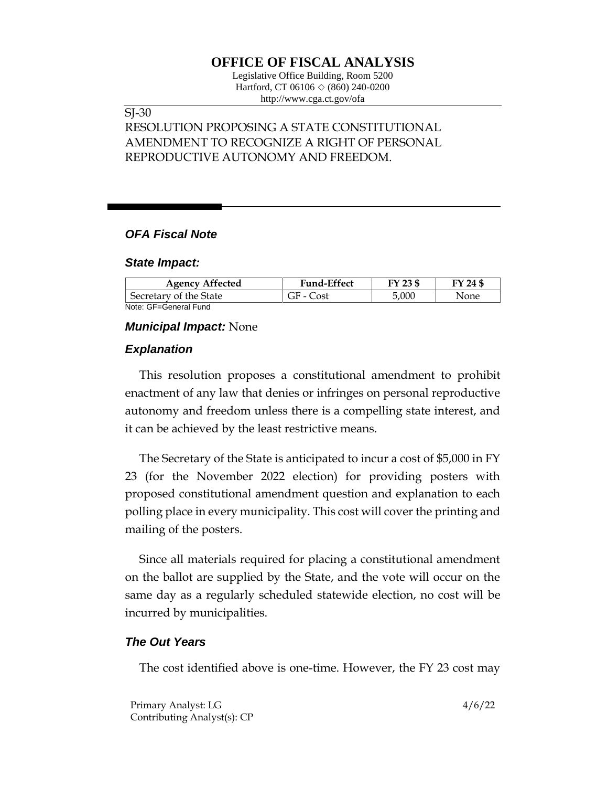# **OFFICE OF FISCAL ANALYSIS**

Legislative Office Building, Room 5200 Hartford, CT 06106  $\Diamond$  (860) 240-0200 http://www.cga.ct.gov/ofa

# SJ-30

# RESOLUTION PROPOSING A STATE CONSTITUTIONAL AMENDMENT TO RECOGNIZE A RIGHT OF PERSONAL REPRODUCTIVE AUTONOMY AND FREEDOM.

## *OFA Fiscal Note*

#### *State Impact:*

| <b>Agency Affected</b> | <b>Fund-Effect</b> | FY 23 \$ | FY 24 \$ |
|------------------------|--------------------|----------|----------|
| Secretary of the State | GF - Cost          | 5,000    | None     |
| Note: GF=General Fund  |                    |          |          |

## *Municipal Impact:* None

## *Explanation*

This resolution proposes a constitutional amendment to prohibit enactment of any law that denies or infringes on personal reproductive autonomy and freedom unless there is a compelling state interest, and it can be achieved by the least restrictive means.

The Secretary of the State is anticipated to incur a cost of \$5,000 in FY 23 (for the November 2022 election) for providing posters with proposed constitutional amendment question and explanation to each polling place in every municipality. This cost will cover the printing and mailing of the posters.

Since all materials required for placing a constitutional amendment on the ballot are supplied by the State, and the vote will occur on the same day as a regularly scheduled statewide election, no cost will be incurred by municipalities.

## *The Out Years*

The cost identified above is one-time. However, the FY 23 cost may